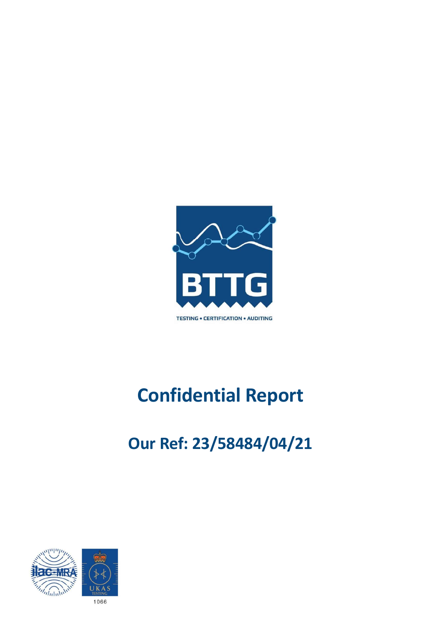

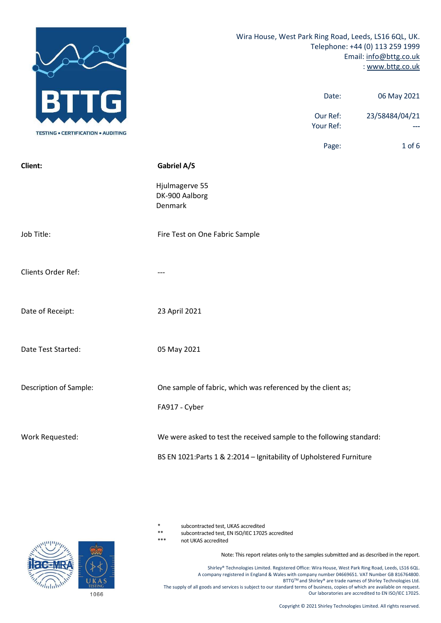|                                           | Wira House, West Park Ring Road, Leeds, LS16 6QL, UK.                                                                                                                                                                                                                                                                            |                       | Telephone: +44 (0) 113 259 1999<br>Email: info@bttg.co.uk<br>: www.bttg.co.uk                                           |
|-------------------------------------------|----------------------------------------------------------------------------------------------------------------------------------------------------------------------------------------------------------------------------------------------------------------------------------------------------------------------------------|-----------------------|-------------------------------------------------------------------------------------------------------------------------|
| G                                         |                                                                                                                                                                                                                                                                                                                                  | Date:                 | 06 May 2021                                                                                                             |
|                                           |                                                                                                                                                                                                                                                                                                                                  | Our Ref:<br>Your Ref: | 23/58484/04/21<br>---                                                                                                   |
| <b>TESTING . CERTIFICATION . AUDITING</b> |                                                                                                                                                                                                                                                                                                                                  | Page:                 | $1$ of $6$                                                                                                              |
| Client:                                   | Gabriel A/S                                                                                                                                                                                                                                                                                                                      |                       |                                                                                                                         |
|                                           | Hjulmagerve 55<br>DK-900 Aalborg<br>Denmark                                                                                                                                                                                                                                                                                      |                       |                                                                                                                         |
| Job Title:                                | Fire Test on One Fabric Sample                                                                                                                                                                                                                                                                                                   |                       |                                                                                                                         |
| Clients Order Ref:                        | $\hspace{0.05cm} \ldots \hspace{0.05cm}$                                                                                                                                                                                                                                                                                         |                       |                                                                                                                         |
| Date of Receipt:                          | 23 April 2021                                                                                                                                                                                                                                                                                                                    |                       |                                                                                                                         |
| Date Test Started:                        | 05 May 2021                                                                                                                                                                                                                                                                                                                      |                       |                                                                                                                         |
| Description of Sample:                    | One sample of fabric, which was referenced by the client as;                                                                                                                                                                                                                                                                     |                       |                                                                                                                         |
|                                           | FA917 - Cyber                                                                                                                                                                                                                                                                                                                    |                       |                                                                                                                         |
| Work Requested:                           | We were asked to test the received sample to the following standard:                                                                                                                                                                                                                                                             |                       |                                                                                                                         |
|                                           | BS EN 1021: Parts 1 & 2:2014 - Ignitability of Upholstered Furniture                                                                                                                                                                                                                                                             |                       |                                                                                                                         |
|                                           | $\ast$<br>subcontracted test, UKAS accredited<br>$***$<br>subcontracted test, EN ISO/IEC 17025 accredited                                                                                                                                                                                                                        |                       |                                                                                                                         |
|                                           | $***$<br>not UKAS accredited<br>Note: This report relates only to the samples submitted and as described in the report.<br>Shirley® Technologies Limited. Registered Office: Wira House, West Park Ring Road, Leeds, LS16 6QL.<br>A company registered in England & Wales with company number 04669651. VAT Number GB 816764800. |                       |                                                                                                                         |
| <b>UKAS</b><br>1066                       | The supply of all goods and services is subject to our standard terms of business, copies of which are available on request.                                                                                                                                                                                                     |                       | BTTG™ and Shirley® are trade names of Shirley Technologies Ltd.<br>Our laboratories are accredited to EN ISO/IEC 17025. |
|                                           |                                                                                                                                                                                                                                                                                                                                  |                       | Copyright © 2021 Shirley Technologies Limited. All rights reserved.                                                     |

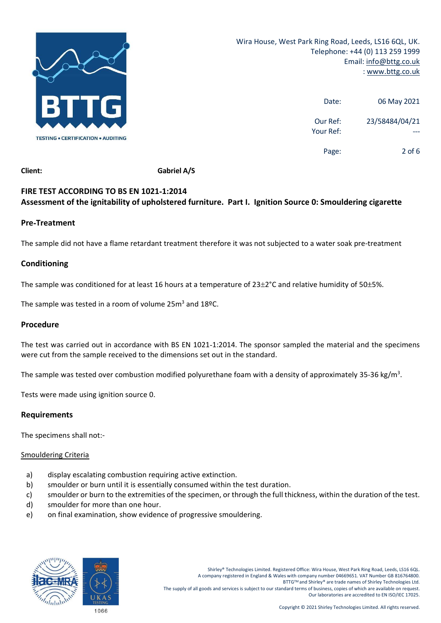

|                       | Ring Road, Leeds, LS16 6QL, UK.<br>Telephone: +44 (0) 113 259 1999<br>Email: info@bttg.co.uk<br>: www.bttg.co.uk |  |  |
|-----------------------|------------------------------------------------------------------------------------------------------------------|--|--|
|                       |                                                                                                                  |  |  |
| Date:                 | 06 May 2021                                                                                                      |  |  |
| Our Ref:<br>Your Ref: | 23/58484/04/21<br>$---$                                                                                          |  |  |
| Page:                 | $2$ of 6                                                                                                         |  |  |
|                       |                                                                                                                  |  |  |
|                       | 0: Smouldering cigarette                                                                                         |  |  |

# Date: 06 May 2021<br>
TESTING • CERTIFICATION • AUDITING<br>
Client: Gabriel A/S<br>
FIRE TEST ACCORDING TO BS EN 1021-1:2014<br>
Seassment of the ignitability of upholstered furniture. Part I. Ignition Source 0: Smouldering cigarette Our Ref:<br>
TESTIMG • CERTIFICATION • AUDITME<br>
Client:<br>
Client:<br>
Gabriel A/S<br>
FIRE TEST ACCORDING TO BS EN 1021-1:2014<br>
Assessment of the ignitability of upholstered furniture. Part I. Ignition Source 0: Smouldering cigarett

# Pre-Treatment

# Conditioning

The sample was tested in a room of volume  $25m^3$  and  $18\degree$ C.

# Procedure

Gabriel A/S<br>
FIRE TEST ACCORDING TO BS EN 1021-1:2014<br>
Assessment of the ignitability of upholstered furniture. Part I. Ignition Source 0: Smouldering cigarette<br>
Pre-Treatment<br>
The sample did not have a flame retardant tre Gibent:<br>FIRE TEST ACCORDING TO BS EN 1021-1:2014<br>Assessment of the ignitability of upholstered furniture. Part I. Ignition Source 0: Smouldering cigarette<br>Pre-Treatment<br>The sample did not have a flame retardant treatment t FIRE TEST ACCORDING TO BS EN 1021-1:2014<br>Assessment of the ignitability of upholstered furniture. Part I. Ignition Source 0: Smouldering cigarette<br>Pre-Treatment<br>The sample did not have a flame retardant treatment therefore Pre-Treatment<br>The sample did not have a flame retardant treatment therefore it was not subjected to a water soak pre-treatment<br>Conditioning<br>The sample was conditioned for at least 16 hours at a temperature of 23±2°C and re **Conditioning**<br>The sample was conditioned for at least 16 hours at a temperature of 23±2°C and relative hun<br>The sample was tested in a room of volume 25m<sup>3</sup> and 18°C.<br>**Procedure**<br>The test was carried out in accordance with The sample was conditioned for at least 16 hours at a temperature of 23±2°C and relat<br>
The sample was tested in a room of volume 25m<sup>3</sup> and 18ºC.<br> **Procedure**<br>
The test was carried out in accordance with BS EN 1021-1:2014. me sample was tested in a room of volume 25m<sup>s</sup> and 18ºC.<br> **rocedure**<br>
re test was carried out in accordance with BS EN 1021-1:2014. The sponsor sampled the material and the specimens<br>
rere cut from the sample received to ne sample was tested in a room of volume 25m<sup>3</sup> and 18ºC.<br> **rocedure**<br>
he test was carried out in accordance with BS EN 1021-1:2014. The sponsor sampled the material and the specimens<br>
ere cut from the sample received to t rocedure<br>
me test was carried out in accordance with BS EN 1021-1:2014. The sponsor sampled the material and the specimens<br>
ere cut from the sample received to the dimensions set out in the standard.<br>
The sample was tested rocedure<br>
the test was carried out in accordance with BS EN 1021-1:2014. The sponsor sampled the material and the<br>
tere cut from the sample received to the dimensions set out in the standard.<br>
The sample was tested over co e)<br>
e) on final example are correlated to the dimensions set out in the standard.<br>
For example was tested over combustion modified polyurethane foam with a density of approximately 35-36 kg/m<sup>3</sup>.<br>
ests were made using igni

# Requirements

- 
- 
- 
- 
- 

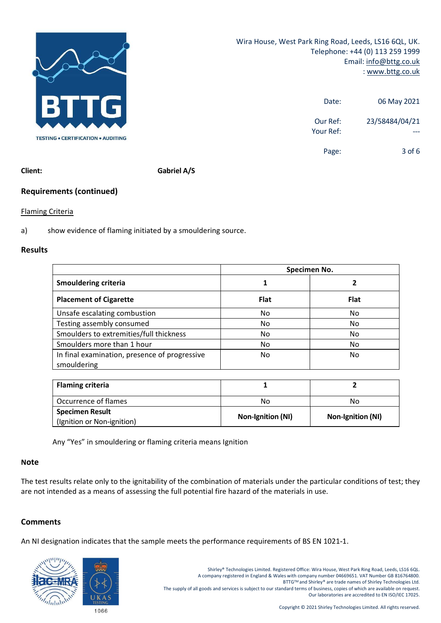

|                       | Park Ring Road, Leeds, LS16 6QL, UK.<br>Telephone: +44 (0) 113 259 1999<br>Email: info@bttg.co.uk<br>: www.bttg.co.uk |  |  |
|-----------------------|-----------------------------------------------------------------------------------------------------------------------|--|--|
| Date:                 | 06 May 2021                                                                                                           |  |  |
| Our Ref:<br>Your Ref: | 23/58484/04/21<br>$---$                                                                                               |  |  |
| Page:                 | $3$ of $6$                                                                                                            |  |  |
|                       |                                                                                                                       |  |  |
|                       |                                                                                                                       |  |  |

# Results

| <b>BTTG</b><br>06 May 2021<br>Date:                                                            |
|------------------------------------------------------------------------------------------------|
|                                                                                                |
| 23/58484/04/21<br>Our Ref:<br>Your Ref:                                                        |
| <b>TESTING • CERTIFICATION • AUDITING</b>                                                      |
| $3$ of $6$<br>Page:                                                                            |
| Gabriel A/S<br>Client:                                                                         |
| <b>Requirements (continued)</b>                                                                |
| <b>Flaming Criteria</b>                                                                        |
|                                                                                                |
| show evidence of flaming initiated by a smouldering source.                                    |
| <b>Results</b>                                                                                 |
| Specimen No.                                                                                   |
|                                                                                                |
| <b>Smouldering criteria</b><br>$\overline{2}$<br>$\mathbf{1}$                                  |
| <b>Placement of Cigarette</b><br><b>Flat</b><br><b>Flat</b>                                    |
| Unsafe escalating combustion<br>No<br>No                                                       |
| Testing assembly consumed<br>No<br>No                                                          |
| Smoulders to extremities/full thickness<br>No<br>No                                            |
| Smoulders more than 1 hour<br>No<br>No                                                         |
| In final examination, presence of progressive<br>No<br>No<br>smouldering                       |
| <b>Flaming criteria</b><br>$\mathbf{1}$<br>$\overline{2}$                                      |
| Occurrence of flames<br>No<br>No                                                               |
| <b>Specimen Result</b><br>Non-Ignition (NI)<br>Non-Ignition (NI)<br>(Ignition or Non-ignition) |

|                 | in milar examination, presence or progressive<br>smouldering                                                                                                                                                                       | <b>IVO</b>                                                                                                                                                                                                                                                                                                                            | <b>IVO</b>                                                                                                                                                                                     |  |
|-----------------|------------------------------------------------------------------------------------------------------------------------------------------------------------------------------------------------------------------------------------|---------------------------------------------------------------------------------------------------------------------------------------------------------------------------------------------------------------------------------------------------------------------------------------------------------------------------------------|------------------------------------------------------------------------------------------------------------------------------------------------------------------------------------------------|--|
|                 | <b>Flaming criteria</b>                                                                                                                                                                                                            | 1                                                                                                                                                                                                                                                                                                                                     | $\overline{2}$                                                                                                                                                                                 |  |
|                 | Occurrence of flames                                                                                                                                                                                                               | No                                                                                                                                                                                                                                                                                                                                    | No                                                                                                                                                                                             |  |
|                 | <b>Specimen Result</b><br>(Ignition or Non-ignition)                                                                                                                                                                               | Non-Ignition (NI)                                                                                                                                                                                                                                                                                                                     | Non-Ignition (NI)                                                                                                                                                                              |  |
|                 | Any "Yes" in smouldering or flaming criteria means Ignition                                                                                                                                                                        |                                                                                                                                                                                                                                                                                                                                       |                                                                                                                                                                                                |  |
| <b>Note</b>     |                                                                                                                                                                                                                                    |                                                                                                                                                                                                                                                                                                                                       |                                                                                                                                                                                                |  |
|                 |                                                                                                                                                                                                                                    |                                                                                                                                                                                                                                                                                                                                       |                                                                                                                                                                                                |  |
|                 | The test results relate only to the ignitability of the combination of materials under the particular conditions of test; they<br>are not intended as a means of assessing the full potential fire hazard of the materials in use. |                                                                                                                                                                                                                                                                                                                                       |                                                                                                                                                                                                |  |
|                 |                                                                                                                                                                                                                                    |                                                                                                                                                                                                                                                                                                                                       |                                                                                                                                                                                                |  |
| <b>Comments</b> |                                                                                                                                                                                                                                    |                                                                                                                                                                                                                                                                                                                                       |                                                                                                                                                                                                |  |
|                 | An NI designation indicates that the sample meets the performance requirements of BS EN 1021-1.                                                                                                                                    |                                                                                                                                                                                                                                                                                                                                       |                                                                                                                                                                                                |  |
|                 |                                                                                                                                                                                                                                    |                                                                                                                                                                                                                                                                                                                                       |                                                                                                                                                                                                |  |
|                 | <b>GEMRA</b><br>UKAS<br><b>TESTING</b><br>1066                                                                                                                                                                                     | Shirley® Technologies Limited. Registered Office: Wira House, West Park Ring Road, Leeds, LS16 6QL.<br>A company registered in England & Wales with company number 04669651. VAT Number GB 816764800.<br>The supply of all goods and services is subject to our standard terms of business, copies of which are available on request. | BTTG™ and Shirley® are trade names of Shirley Technologies Ltd.<br>Our laboratories are accredited to EN ISO/IEC 17025.<br>Copyright © 2021 Shirley Technologies Limited. All rights reserved. |  |
|                 |                                                                                                                                                                                                                                    |                                                                                                                                                                                                                                                                                                                                       |                                                                                                                                                                                                |  |

# Note

# **Comments**

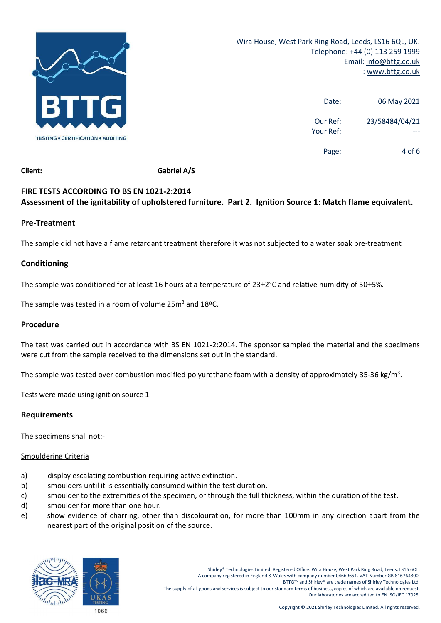

|                       | Ring Road, Leeds, LS16 6QL, UK.<br>Telephone: +44 (0) 113 259 1999<br>Email: info@bttg.co.uk<br>: www.bttg.co.uk |  |  |
|-----------------------|------------------------------------------------------------------------------------------------------------------|--|--|
| Date:                 | 06 May 2021                                                                                                      |  |  |
| Our Ref:<br>Your Ref: | 23/58484/04/21<br>---                                                                                            |  |  |
| Page:                 | 4 of 6                                                                                                           |  |  |
|                       |                                                                                                                  |  |  |
|                       | 1: Match flame equivalent.                                                                                       |  |  |

# Date: 06 May 2021<br>
TESTING • CERTIFICATION • AUDITING<br>
Client: Gabriel A/S<br>
FIRE TESTS ACCORDING TO BS EN 1021-2:2014<br>
Sessesment of the ignitability of upholstered furniture. Part 2. Ignition Source 1: Match flame equival Our Ref:<br>
TESTIMG • CERTIFICATION • AUDITMG<br>
Client:<br>
Client:<br>
Gabriel A/S<br>
FIRE TESTS ACCORDING TO BS EN 1021-2:2014<br>
Assessment of the ignitability of upholstered furniture. Part 2. Ignition Source 1: Match flame equival

# Pre-Treatment

# Conditioning

The sample was tested in a room of volume  $25m^3$  and  $18\degree$ C.

# Procedure

Client: Gabriel A/S<br>
FIRE TESTS ACCORDING TO BS EN 1021-2:2014<br>
Assessment of the ignitability of upholstered furniture. Part 2. Ignition Source 1: Match flame equivalent.<br>
Pre-Treatment<br>
The sample did not have a flame re Gibent:<br>FIRE TESTS ACCORDING TO BS EN 1021-2:2014<br>Assessment of the ignitability of upholstered furniture. Part 2. Ignition Source 1: Match flame equivalent.<br>Pre-Treatment<br>The sample did not have a flame retardant treatmen FIRE TESTS ACCORDING TO BS EN 1021-2:2014<br>Assessment of the ignitability of upholstered furniture. Part 2. Ignition Source 1: Match flame equivalent.<br>Pre-Treatment<br>The sample did not have a flame retardant treatment theref Pre-Treatment<br>The sample did not have a flame retardant treatment therefore it was not subjected to a water soak pre-treatment<br>Conditioning<br>The sample was conditioned for at least 16 hours at a temperature of 23±2°C and re **Conditioning**<br>The sample was conditioned for at least 16 hours at a temperature of 23±2°C and relative hun<br>The sample was tested in a room of volume 25m<sup>3</sup> and 18ºC.<br>**Procedure**<br>The test was carried out in accordance with The sample was conditioned for at least 16 hours at a temperature of 23±2<sup>o</sup>C and relat<br>The sample was tested in a room of volume 25m<sup>3</sup> and 18ºC.<br> **Procedure**<br>
The test was carried out in accordance with BS EN 1021-2:2014 The sample was tested in a room of volume  $25m^3$  and  $188C$ .<br> **Procedure**<br>
The test was carried out in accordance with BS EN 1021-2:2014. The sponsor sampled the material and the specimens<br>
The sample was tested over comb The sample was tested in a room of volume 25m<sup>3</sup> and 189C.<br> **Procedure**<br>
The test was carried out in accordance with BS EN 1021-2:2014. The sponsor sampled the material and the specimens<br>
were cut from the sample received **Procedure**<br>
The test was carried out in accordance with BS EN 1021-2:2014. The sponsor sampled the material and the specimens<br>
were cut from the sample received to the dimensions set out in the standard.<br>
The sample was t **Procedure**<br>
The test was carried out in accordance with BS EN 1021-2:2014. The sponsor sampled the material and the<br>
were cut from the sample received to the dimensions set out in the standard.<br>
The sample was tested over Fine test was carried out in accordance with BS EN 1021-2:2014. The sponsor sampled the material and the specimens<br>were cut from the sample received to the dimensions set out in the standard.<br>The sample was tested over com is was carried out in accordance with BS EN 1021-2:2014. The sponsor sampled the material and the specimens<br>
from the sample received to the dimensions set out in the standard.<br>
Jule was tested over combustion modified pol

# Requirements

- 
- 
- 
- 
- 

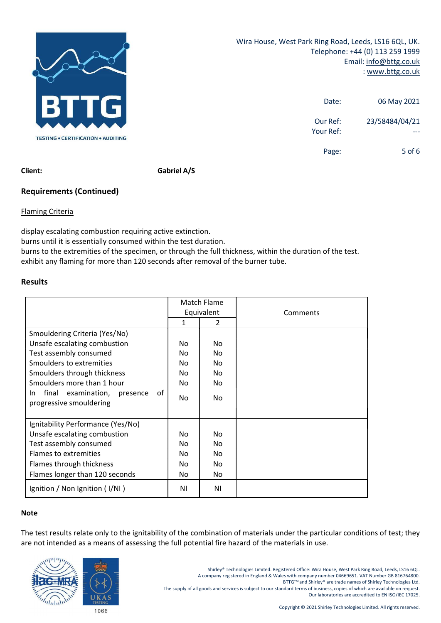

Wira House, West Park Ring Road, Leeds, LS16 6QL, UK.<br>Telephone: +44 (0) 113 259 1999<br>Email: <u>info@bttg.co.uk</u><br>WWW.bttg.co.uk: Ring Road, Leeds, LS16 6QL, UK.<br>
Telephone: +44 (0) 113 259 1999<br>
Email: <u>info@bttg.co.uk</u><br>
: www.bttg.co.uk<br>
Date: 06 May 2021 d, Leeds, LS16 6QL, UK.<br>
E: +44 (0) 113 259 1999<br>
Email: <u>info@bttg.co.uk</u><br>
: <u>www.bttg.co.uk</u><br>
06 May 2021 ds, LS16 6QL, UK.<br>(0) 113 259 1999<br>: <u>info@bttg.co.uk</u><br>: <u>www.bttg.co.uk</u><br>06 May 2021<br>23/58484/04/21

|                       | ark Ring Road, Leeds, LS16 6QL, UK.                                           |  |  |
|-----------------------|-------------------------------------------------------------------------------|--|--|
|                       | Telephone: +44 (0) 113 259 1999<br>Email: info@bttg.co.uk<br>: www.bttg.co.uk |  |  |
| Date:                 | 06 May 2021                                                                   |  |  |
| Our Ref:<br>Your Ref: | 23/58484/04/21<br>$---$                                                       |  |  |
| Page:                 | 5 of 6                                                                        |  |  |
|                       |                                                                               |  |  |
|                       |                                                                               |  |  |

Telephone: +44 (0) 113 259 1999<br>
Email: <u>info@bttg.co.ul</u><br>
Email: <u>info@bttg.co.ul</u><br>
Characterian restriction requiring active extinction.<br> **Client:**<br>
Soft (<br> **Client:**<br>
Soft (<br> **Client:**<br>
Soft (<br> **Client:**<br>
Soft (<br> **Clien** Email:  $\frac{1}{2}$ <br>
but is the scatter of the scaling consumed burns of the test duration.<br>
Burns careneared with a state of the species of the specifies of the specifies of the test duration.<br>
Burns until it is essentially burns to the extremitions and the specimen, or through the full thickness, within the duration of the test.<br> **Extremisming Criteria**<br> **Extremisming Criteria**<br> **Examing Criteria**<br> **Examing Criteria**<br> **Examing Criteria**<br> **Ex Exhibit any flaming Criteria**<br> **Exhibit any flaming for more than 120** seconds a Motion Text of the burner tube.<br> **Exhibit any flaming Criteria**<br> **Exhibit any flaming criterial**<br> **Exhibit any flaming for more than 120 sec** 

# Results

|                                                                                                                                                                                                                                                                                                                                |             |                              | Our Ref:                                                                                                                                                          | 23/58484/04/21                                       |
|--------------------------------------------------------------------------------------------------------------------------------------------------------------------------------------------------------------------------------------------------------------------------------------------------------------------------------|-------------|------------------------------|-------------------------------------------------------------------------------------------------------------------------------------------------------------------|------------------------------------------------------|
| <b>TESTING • CERTIFICATION • AUDITING</b>                                                                                                                                                                                                                                                                                      |             |                              | Your Ref:                                                                                                                                                         |                                                      |
|                                                                                                                                                                                                                                                                                                                                |             |                              | Page:                                                                                                                                                             | $5$ of $6$                                           |
| Client:                                                                                                                                                                                                                                                                                                                        | Gabriel A/S |                              |                                                                                                                                                                   |                                                      |
| <b>Requirements (Continued)</b>                                                                                                                                                                                                                                                                                                |             |                              |                                                                                                                                                                   |                                                      |
|                                                                                                                                                                                                                                                                                                                                |             |                              |                                                                                                                                                                   |                                                      |
| <b>Flaming Criteria</b>                                                                                                                                                                                                                                                                                                        |             |                              |                                                                                                                                                                   |                                                      |
| display escalating combustion requiring active extinction.<br>burns until it is essentially consumed within the test duration.<br>burns to the extremities of the specimen, or through the full thickness, within the duration of the test.<br>exhibit any flaming for more than 120 seconds after removal of the burner tube. |             |                              |                                                                                                                                                                   |                                                      |
| <b>Results</b>                                                                                                                                                                                                                                                                                                                 |             |                              |                                                                                                                                                                   |                                                      |
|                                                                                                                                                                                                                                                                                                                                |             | Match Flame                  |                                                                                                                                                                   |                                                      |
|                                                                                                                                                                                                                                                                                                                                |             | Equivalent<br>$\overline{2}$ | Comments                                                                                                                                                          |                                                      |
| Smouldering Criteria (Yes/No)                                                                                                                                                                                                                                                                                                  |             |                              |                                                                                                                                                                   |                                                      |
| Unsafe escalating combustion                                                                                                                                                                                                                                                                                                   | No          | No                           |                                                                                                                                                                   |                                                      |
| Test assembly consumed                                                                                                                                                                                                                                                                                                         | No          | No                           |                                                                                                                                                                   |                                                      |
| Smoulders to extremities                                                                                                                                                                                                                                                                                                       | No          | No                           |                                                                                                                                                                   |                                                      |
| Smoulders through thickness<br>Smoulders more than 1 hour                                                                                                                                                                                                                                                                      | No<br>No    | No<br>No                     |                                                                                                                                                                   |                                                      |
| In final examination, presence of                                                                                                                                                                                                                                                                                              |             |                              |                                                                                                                                                                   |                                                      |
| progressive smouldering                                                                                                                                                                                                                                                                                                        | No          | No                           |                                                                                                                                                                   |                                                      |
| Ignitability Performance (Yes/No)                                                                                                                                                                                                                                                                                              |             |                              |                                                                                                                                                                   |                                                      |
| Unsafe escalating combustion                                                                                                                                                                                                                                                                                                   | No          | No                           |                                                                                                                                                                   |                                                      |
| Test assembly consumed                                                                                                                                                                                                                                                                                                         | No          | No                           |                                                                                                                                                                   |                                                      |
| Flames to extremities                                                                                                                                                                                                                                                                                                          | No          | No                           |                                                                                                                                                                   |                                                      |
| Flames through thickness                                                                                                                                                                                                                                                                                                       | No          | No                           |                                                                                                                                                                   |                                                      |
| Flames longer than 120 seconds                                                                                                                                                                                                                                                                                                 | No          | No                           |                                                                                                                                                                   |                                                      |
| Ignition / Non Ignition (I/NI)                                                                                                                                                                                                                                                                                                 | ΝI          | NI                           |                                                                                                                                                                   |                                                      |
| <b>Note</b>                                                                                                                                                                                                                                                                                                                    |             |                              |                                                                                                                                                                   |                                                      |
|                                                                                                                                                                                                                                                                                                                                |             |                              |                                                                                                                                                                   |                                                      |
| The test results relate only to the ignitability of the combination of materials under the particular conditions of test; they                                                                                                                                                                                                 |             |                              |                                                                                                                                                                   |                                                      |
| are not intended as a means of assessing the full potential fire hazard of the materials in use.                                                                                                                                                                                                                               |             |                              |                                                                                                                                                                   |                                                      |
|                                                                                                                                                                                                                                                                                                                                |             |                              |                                                                                                                                                                   |                                                      |
|                                                                                                                                                                                                                                                                                                                                |             |                              | Shirley® Technologies Limited. Registered Office: Wira House, West Park Ring Road, Leeds, LS16 6QL.                                                               |                                                      |
|                                                                                                                                                                                                                                                                                                                                |             |                              | A company registered in England & Wales with company number 04669651. VAT Number GB 816764800.<br>BTTG™ and Shirley® are trade names of Shirley Technologies Ltd. |                                                      |
|                                                                                                                                                                                                                                                                                                                                |             |                              | The supply of all goods and services is subject to our standard terms of business, copies of which are available on request.                                      |                                                      |
| <b>TESTING</b>                                                                                                                                                                                                                                                                                                                 |             |                              |                                                                                                                                                                   | Our laboratories are accredited to EN ISO/IEC 17025. |
| 1066                                                                                                                                                                                                                                                                                                                           |             |                              | Copyright © 2021 Shirley Technologies Limited. All rights reserved.                                                                                               |                                                      |
|                                                                                                                                                                                                                                                                                                                                |             |                              |                                                                                                                                                                   |                                                      |

# Note